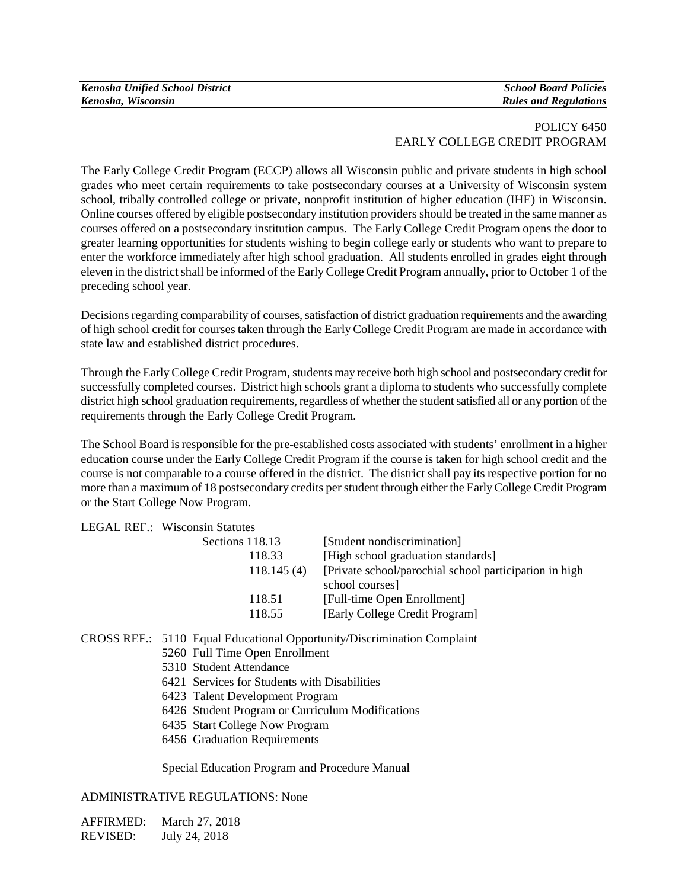| <b>Kenosha Unified School District</b> |
|----------------------------------------|
| Kenosha, Wisconsin                     |

## POLICY 6450 EARLY COLLEGE CREDIT PROGRAM

The Early College Credit Program (ECCP) allows all Wisconsin public and private students in high school grades who meet certain requirements to take postsecondary courses at a University of Wisconsin system school, tribally controlled college or private, nonprofit institution of higher education (IHE) in Wisconsin. Online courses offered by eligible postsecondary institution providers should be treated in the same manner as courses offered on a postsecondary institution campus. The Early College Credit Program opens the door to greater learning opportunities for students wishing to begin college early or students who want to prepare to enter the workforce immediately after high school graduation. All students enrolled in grades eight through eleven in the district shall be informed of the Early College Credit Program annually, prior to October 1 of the preceding school year.

Decisions regarding comparability of courses, satisfaction of district graduation requirements and the awarding of high school credit for coursestaken through the Early College Credit Program are made in accordance with state law and established district procedures.

Through the Early College Credit Program*,* students may receive both high school and postsecondary credit for successfully completed courses. District high schools grant a diploma to students who successfully complete district high school graduation requirements, regardless of whether the student satisfied all or any portion of the requirements through the Early College Credit Program.

The School Board is responsible for the pre-established costs associated with students' enrollment in a higher education course under the Early College Credit Program if the course is taken for high school credit and the course is not comparable to a course offered in the district. The district shall pay its respective portion for no more than a maximum of 18 postsecondary credits per student through either the Early College Credit Program or the Start College Now Program.

LEGAL REF.: Wisconsin Statutes

| Sections 118.13 | [Student nondiscrimination]                             |
|-----------------|---------------------------------------------------------|
| 118.33          | [High school graduation standards]                      |
| 118.145(4)      | [Private school/parochial school participation in high] |
|                 | school courses]                                         |
| 118.51          | [Full-time Open Enrollment]                             |
| 118.55          | [Early College Credit Program]                          |
|                 |                                                         |

- CROSS REF.: 5110 Equal Educational Opportunity/Discrimination Complaint
	- 5260 Full Time Open Enrollment
	- 5310 Student Attendance
	- 6421 Services for Students with Disabilities
	- 6423 Talent Development Program
	- 6426 Student Program or Curriculum Modifications
	- 6435 Start College Now Program
	- 6456 Graduation Requirements

Special Education Program and Procedure Manual

#### ADMINISTRATIVE REGULATIONS: None

AFFIRMED: March 27, 2018 REVISED: July 24, 2018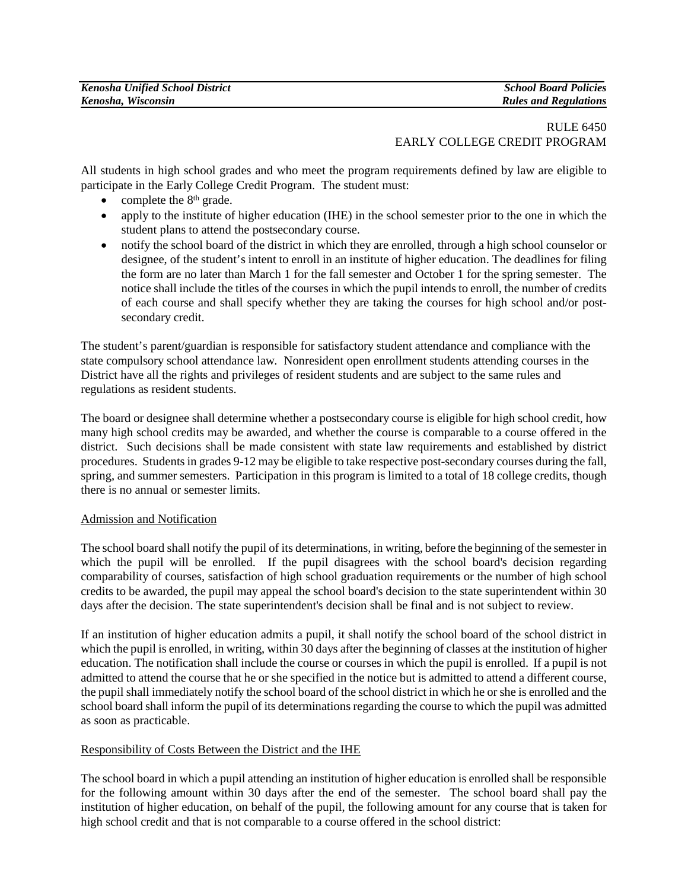# RULE 6450 EARLY COLLEGE CREDIT PROGRAM

All students in high school grades and who meet the program requirements defined by law are eligible to participate in the Early College Credit Program. The student must:

- complete the  $8<sup>th</sup>$  grade.
- apply to the institute of higher education (IHE) in the school semester prior to the one in which the student plans to attend the postsecondary course.
- notify the school board of the district in which they are enrolled, through a high school counselor or designee, of the student's intent to enroll in an institute of higher education. The deadlines for filing the form are no later than March 1 for the fall semester and October 1 for the spring semester. The notice shall include the titles of the courses in which the pupil intends to enroll, the number of credits of each course and shall specify whether they are taking the courses for high school and/or postsecondary credit.

The student's parent/guardian is responsible for satisfactory student attendance and compliance with the state compulsory school attendance law*.* Nonresident open enrollment students attending courses in the District have all the rights and privileges of resident students and are subject to the same rules and regulations as resident students.

The board or designee shall determine whether a postsecondary course is eligible for high school credit, how many high school credits may be awarded, and whether the course is comparable to a course offered in the district. Such decisions shall be made consistent with state law requirements and established by district procedures. Students in grades 9-12 may be eligible to take respective post-secondary courses during the fall, spring, and summer semesters. Participation in this program is limited to a total of 18 college credits, though there is no annual or semester limits.

# Admission and Notification

The school board shall notify the pupil of its determinations, in writing, before the beginning of the semester in which the pupil will be enrolled. If the pupil disagrees with the school board's decision regarding comparability of courses, satisfaction of high school graduation requirements or the number of high school credits to be awarded, the pupil may appeal the school board's decision to the state superintendent within 30 days after the decision. The state superintendent's decision shall be final and is not subject to review.

If an institution of higher education admits a pupil, it shall notify the school board of the school district in which the pupil is enrolled, in writing, within 30 days after the beginning of classes at the institution of higher education. The notification shall include the course or courses in which the pupil is enrolled. If a pupil is not admitted to attend the course that he or she specified in the notice but is admitted to attend a different course, the pupil shall immediately notify the school board of the school district in which he or she is enrolled and the school board shall inform the pupil of its determinations regarding the course to which the pupil was admitted as soon as practicable.

#### Responsibility of Costs Between the District and the IHE

The school board in which a pupil attending an institution of higher education is enrolled shall be responsible for the following amount within 30 days after the end of the semester. The school board shall pay the institution of higher education, on behalf of the pupil, the following amount for any course that is taken for high school credit and that is not comparable to a course offered in the school district: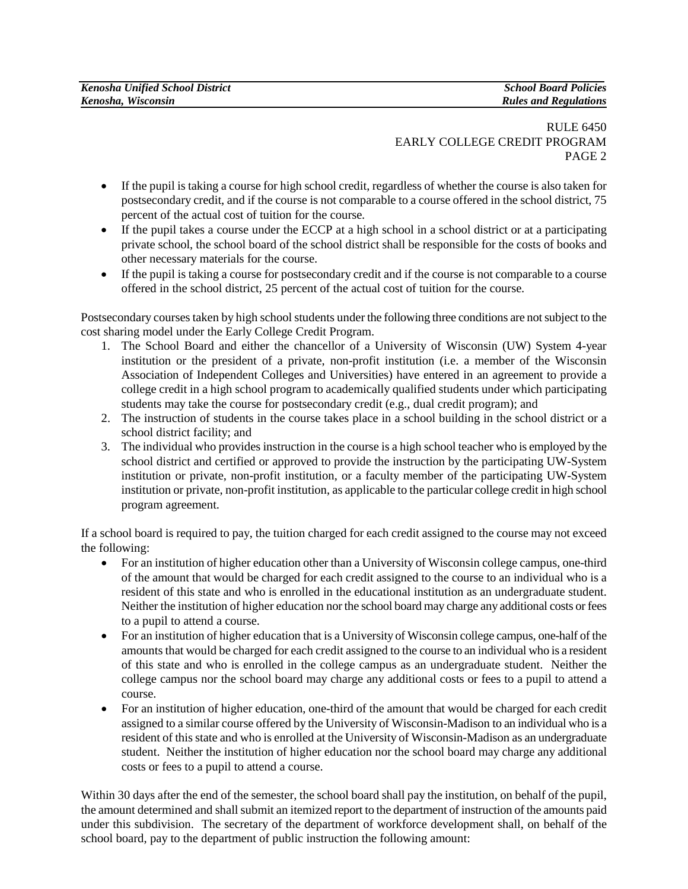## RULE 6450 EARLY COLLEGE CREDIT PROGRAM PAGE 2

- If the pupil is taking a course for high school credit, regardless of whether the course is also taken for postsecondary credit, and if the course is not comparable to a course offered in the school district, 75 percent of the actual cost of tuition for the course.
- If the pupil takes a course under the ECCP at a high school in a school district or at a participating private school, the school board of the school district shall be responsible for the costs of books and other necessary materials for the course.
- If the pupil is taking a course for postsecondary credit and if the course is not comparable to a course offered in the school district, 25 percent of the actual cost of tuition for the course.

Postsecondary courses taken by high school students under the following three conditions are not subject to the cost sharing model under the Early College Credit Program.

- 1. The School Board and either the chancellor of a University of Wisconsin (UW) System 4-year institution or the president of a private, non-profit institution (i.e. a member of the Wisconsin Association of Independent Colleges and Universities) have entered in an agreement to provide a college credit in a high school program to academically qualified students under which participating students may take the course for postsecondary credit (e.g., dual credit program); and
- 2. The instruction of students in the course takes place in a school building in the school district or a school district facility; and
- 3. The individual who provides instruction in the course is a high school teacher who is employed by the school district and certified or approved to provide the instruction by the participating UW-System institution or private, non-profit institution, or a faculty member of the participating UW-System institution or private, non-profit institution, as applicable to the particular college credit in high school program agreement.

If a school board is required to pay, the tuition charged for each credit assigned to the course may not exceed the following:

- For an institution of higher education other than a University of Wisconsin college campus, one-third of the amount that would be charged for each credit assigned to the course to an individual who is a resident of this state and who is enrolled in the educational institution as an undergraduate student. Neither the institution of higher education nor the school board may charge any additional costs or fees to a pupil to attend a course.
- For an institution of higher education that is a University of Wisconsin college campus, one-half of the amounts that would be charged for each credit assigned to the course to an individual who is a resident of this state and who is enrolled in the college campus as an undergraduate student. Neither the college campus nor the school board may charge any additional costs or fees to a pupil to attend a course.
- For an institution of higher education, one-third of the amount that would be charged for each credit assigned to a similar course offered by the University of Wisconsin-Madison to an individual who is a resident of this state and who is enrolled at the University of Wisconsin-Madison as an undergraduate student. Neither the institution of higher education nor the school board may charge any additional costs or fees to a pupil to attend a course.

Within 30 days after the end of the semester, the school board shall pay the institution, on behalf of the pupil, the amount determined and shall submit an itemized report to the department of instruction of the amounts paid under this subdivision. The secretary of the department of workforce development shall, on behalf of the school board, pay to the department of public instruction the following amount: